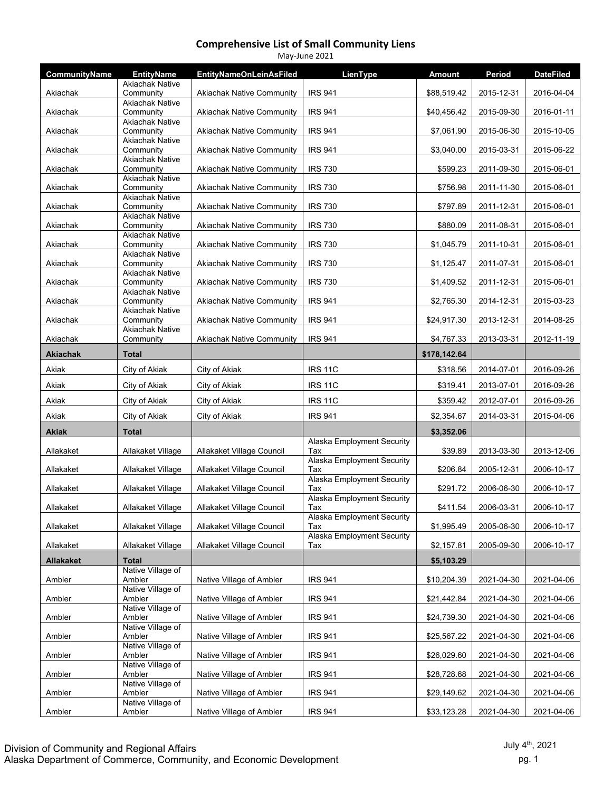| <b>IRS 941</b><br><b>Akiachak Native Community</b><br>\$88,519.42<br>2015-12-31<br>2016-04-04<br>Akiachak<br>Community<br><b>Akiachak Native</b><br><b>IRS 941</b><br>Akiachak<br>Community<br><b>Akiachak Native Community</b><br>\$40,456.42<br>2015-09-30<br>2016-01-11<br><b>Akiachak Native</b><br><b>IRS 941</b><br>Community<br><b>Akiachak Native Community</b><br>\$7,061.90<br>2015-06-30<br>Akiachak<br>2015-10-05<br><b>Akiachak Native</b><br><b>IRS 941</b><br>Akiachak<br>Community<br><b>Akiachak Native Community</b><br>\$3,040.00<br>2015-03-31<br>2015-06-22<br><b>Akiachak Native</b><br><b>IRS 730</b><br>Community<br><b>Akiachak Native Community</b><br>\$599.23<br>2011-09-30<br>2015-06-01<br>Akiachak<br><b>Akiachak Native</b><br><b>IRS 730</b><br><b>Akiachak Native Community</b><br>\$756.98<br>2011-11-30<br>2015-06-01<br>Akiachak<br>Community<br><b>Akiachak Native</b><br><b>IRS 730</b><br>Community<br><b>Akiachak Native Community</b><br>\$797.89<br>2011-12-31<br>2015-06-01<br>Akiachak<br><b>Akiachak Native</b><br><b>IRS 730</b><br>Community<br>\$880.09<br>2011-08-31<br>Akiachak<br><b>Akiachak Native Community</b><br>2015-06-01<br><b>Akiachak Native</b><br><b>IRS 730</b><br>Akiachak<br><b>Akiachak Native Community</b><br>\$1,045.79<br>2011-10-31<br>2015-06-01<br>Community<br><b>Akiachak Native</b><br>Community<br><b>Akiachak Native Community</b><br><b>IRS 730</b><br>\$1,125.47<br>2011-07-31<br>2015-06-01<br>Akiachak<br><b>Akiachak Native</b><br><b>IRS 730</b><br>Community<br><b>Akiachak Native Community</b><br>\$1,409.52<br>2011-12-31<br>2015-06-01<br>Akiachak<br><b>Akiachak Native</b><br>Community<br><b>Akiachak Native Community</b><br><b>IRS 941</b><br>\$2,765.30<br>2014-12-31<br>2015-03-23<br>Akiachak<br><b>Akiachak Native</b><br><b>IRS 941</b><br>Community<br><b>Akiachak Native Community</b><br>\$24,917.30<br>2013-12-31<br>2014-08-25<br>Akiachak<br><b>Akiachak Native</b><br><b>IRS 941</b><br>Akiachak<br>Community<br><b>Akiachak Native Community</b><br>\$4,767.33<br>2013-03-31<br>2012-11-19<br><b>Akiachak</b><br><b>Total</b><br>\$178,142.64<br>Akiak<br>City of Akiak<br>City of Akiak<br><b>IRS 11C</b><br>\$318.56<br>2014-07-01<br>2016-09-26<br><b>IRS 11C</b><br>Akiak<br>City of Akiak<br>City of Akiak<br>\$319.41<br>2013-07-01<br>2016-09-26<br><b>IRS 11C</b><br>2012-07-01<br>Akiak<br>\$359.42<br>2016-09-26<br>City of Akiak<br>City of Akiak<br>Akiak<br><b>IRS 941</b><br>\$2,354.67<br>2014-03-31<br>2015-04-06<br>City of Akiak<br>City of Akiak<br>Akiak<br>\$3,352.06<br>Total<br>Alaska Employment Security<br>Allakaket Village<br>Allakaket Village Council<br>\$39.89<br>2013-03-30<br>2013-12-06<br>Allakaket<br>Tax<br><b>Alaska Employment Security</b><br>Allakaket<br>Allakaket Village Council<br>\$206.84<br>2005-12-31<br>2006-10-17<br>Allakaket Village<br>Tax<br>Alaska Employment Security<br>Allakaket Village Council<br>\$291.72<br>Allakaket<br>Allakaket Village<br>Tax<br>2006-06-30<br>2006-10-17<br>Alaska Employment Security<br>Allakaket Village<br>Allakaket Village Council<br>\$411.54<br>2006-03-31<br>2006-10-17<br>Allakaket<br>Tax<br>Alaska Employment Security<br>Allakaket<br>Allakaket Village<br>Allakaket Village Council<br>\$1,995.49<br>2005-06-30<br>2006-10-17<br>Tax<br>Alaska Employment Security<br>Allakaket<br>Allakaket Village<br>Allakaket Village Council<br>\$2,157.81<br>2005-09-30<br>2006-10-17<br>Tax<br><b>Allakaket</b><br><b>Total</b><br>\$5,103.29<br>Native Village of<br>Ambler<br>Native Village of Ambler<br><b>IRS 941</b><br>\$10,204.39<br>2021-04-30<br>2021-04-06<br>Ambler<br>Native Village of<br>Ambler<br>Ambler<br>Native Village of Ambler<br><b>IRS 941</b><br>\$21,442.84<br>2021-04-30<br>2021-04-06<br>Native Village of<br>Ambler<br>Ambler<br>Native Village of Ambler<br><b>IRS 941</b><br>\$24,739.30<br>2021-04-30<br>2021-04-06<br>Native Village of<br>Ambler<br>Ambler<br>Native Village of Ambler<br><b>IRS 941</b><br>\$25,567.22<br>2021-04-30<br>2021-04-06 | CommunityName | <b>EntityName</b>      | <b>EntityNameOnLeinAsFiled</b> | LienType | <b>Amount</b> | Period | <b>DateFiled</b> |
|----------------------------------------------------------------------------------------------------------------------------------------------------------------------------------------------------------------------------------------------------------------------------------------------------------------------------------------------------------------------------------------------------------------------------------------------------------------------------------------------------------------------------------------------------------------------------------------------------------------------------------------------------------------------------------------------------------------------------------------------------------------------------------------------------------------------------------------------------------------------------------------------------------------------------------------------------------------------------------------------------------------------------------------------------------------------------------------------------------------------------------------------------------------------------------------------------------------------------------------------------------------------------------------------------------------------------------------------------------------------------------------------------------------------------------------------------------------------------------------------------------------------------------------------------------------------------------------------------------------------------------------------------------------------------------------------------------------------------------------------------------------------------------------------------------------------------------------------------------------------------------------------------------------------------------------------------------------------------------------------------------------------------------------------------------------------------------------------------------------------------------------------------------------------------------------------------------------------------------------------------------------------------------------------------------------------------------------------------------------------------------------------------------------------------------------------------------------------------------------------------------------------------------------------------------------------------------------------------------------------------------------------------------------------------------------------------------------------------------------------------------------------------------------------------------------------------------------------------------------------------------------------------------------------------------------------------------------------------------------------------------------------------------------------------------------------------------------------------------------------------------------------------------------------------------------------------------------------------------------------------------------------------------------------------------------------------------------------------------------------------------------------------------------------------------------------------------------------------------------------------------------------------------------------------------------------------------------------------------------------------------------------------------------------------------------------------------------------------------------------------------------------------------------------------------------------------------------------------------------------------------------------------------------------------------------------------------------------------------------------------------------------------------------------------------------------------------------------|---------------|------------------------|--------------------------------|----------|---------------|--------|------------------|
|                                                                                                                                                                                                                                                                                                                                                                                                                                                                                                                                                                                                                                                                                                                                                                                                                                                                                                                                                                                                                                                                                                                                                                                                                                                                                                                                                                                                                                                                                                                                                                                                                                                                                                                                                                                                                                                                                                                                                                                                                                                                                                                                                                                                                                                                                                                                                                                                                                                                                                                                                                                                                                                                                                                                                                                                                                                                                                                                                                                                                                                                                                                                                                                                                                                                                                                                                                                                                                                                                                                                                                                                                                                                                                                                                                                                                                                                                                                                                                                                                                                                                              |               | <b>Akiachak Native</b> |                                |          |               |        |                  |
|                                                                                                                                                                                                                                                                                                                                                                                                                                                                                                                                                                                                                                                                                                                                                                                                                                                                                                                                                                                                                                                                                                                                                                                                                                                                                                                                                                                                                                                                                                                                                                                                                                                                                                                                                                                                                                                                                                                                                                                                                                                                                                                                                                                                                                                                                                                                                                                                                                                                                                                                                                                                                                                                                                                                                                                                                                                                                                                                                                                                                                                                                                                                                                                                                                                                                                                                                                                                                                                                                                                                                                                                                                                                                                                                                                                                                                                                                                                                                                                                                                                                                              |               |                        |                                |          |               |        |                  |
|                                                                                                                                                                                                                                                                                                                                                                                                                                                                                                                                                                                                                                                                                                                                                                                                                                                                                                                                                                                                                                                                                                                                                                                                                                                                                                                                                                                                                                                                                                                                                                                                                                                                                                                                                                                                                                                                                                                                                                                                                                                                                                                                                                                                                                                                                                                                                                                                                                                                                                                                                                                                                                                                                                                                                                                                                                                                                                                                                                                                                                                                                                                                                                                                                                                                                                                                                                                                                                                                                                                                                                                                                                                                                                                                                                                                                                                                                                                                                                                                                                                                                              |               |                        |                                |          |               |        |                  |
|                                                                                                                                                                                                                                                                                                                                                                                                                                                                                                                                                                                                                                                                                                                                                                                                                                                                                                                                                                                                                                                                                                                                                                                                                                                                                                                                                                                                                                                                                                                                                                                                                                                                                                                                                                                                                                                                                                                                                                                                                                                                                                                                                                                                                                                                                                                                                                                                                                                                                                                                                                                                                                                                                                                                                                                                                                                                                                                                                                                                                                                                                                                                                                                                                                                                                                                                                                                                                                                                                                                                                                                                                                                                                                                                                                                                                                                                                                                                                                                                                                                                                              |               |                        |                                |          |               |        |                  |
|                                                                                                                                                                                                                                                                                                                                                                                                                                                                                                                                                                                                                                                                                                                                                                                                                                                                                                                                                                                                                                                                                                                                                                                                                                                                                                                                                                                                                                                                                                                                                                                                                                                                                                                                                                                                                                                                                                                                                                                                                                                                                                                                                                                                                                                                                                                                                                                                                                                                                                                                                                                                                                                                                                                                                                                                                                                                                                                                                                                                                                                                                                                                                                                                                                                                                                                                                                                                                                                                                                                                                                                                                                                                                                                                                                                                                                                                                                                                                                                                                                                                                              |               |                        |                                |          |               |        |                  |
|                                                                                                                                                                                                                                                                                                                                                                                                                                                                                                                                                                                                                                                                                                                                                                                                                                                                                                                                                                                                                                                                                                                                                                                                                                                                                                                                                                                                                                                                                                                                                                                                                                                                                                                                                                                                                                                                                                                                                                                                                                                                                                                                                                                                                                                                                                                                                                                                                                                                                                                                                                                                                                                                                                                                                                                                                                                                                                                                                                                                                                                                                                                                                                                                                                                                                                                                                                                                                                                                                                                                                                                                                                                                                                                                                                                                                                                                                                                                                                                                                                                                                              |               |                        |                                |          |               |        |                  |
|                                                                                                                                                                                                                                                                                                                                                                                                                                                                                                                                                                                                                                                                                                                                                                                                                                                                                                                                                                                                                                                                                                                                                                                                                                                                                                                                                                                                                                                                                                                                                                                                                                                                                                                                                                                                                                                                                                                                                                                                                                                                                                                                                                                                                                                                                                                                                                                                                                                                                                                                                                                                                                                                                                                                                                                                                                                                                                                                                                                                                                                                                                                                                                                                                                                                                                                                                                                                                                                                                                                                                                                                                                                                                                                                                                                                                                                                                                                                                                                                                                                                                              |               |                        |                                |          |               |        |                  |
|                                                                                                                                                                                                                                                                                                                                                                                                                                                                                                                                                                                                                                                                                                                                                                                                                                                                                                                                                                                                                                                                                                                                                                                                                                                                                                                                                                                                                                                                                                                                                                                                                                                                                                                                                                                                                                                                                                                                                                                                                                                                                                                                                                                                                                                                                                                                                                                                                                                                                                                                                                                                                                                                                                                                                                                                                                                                                                                                                                                                                                                                                                                                                                                                                                                                                                                                                                                                                                                                                                                                                                                                                                                                                                                                                                                                                                                                                                                                                                                                                                                                                              |               |                        |                                |          |               |        |                  |
|                                                                                                                                                                                                                                                                                                                                                                                                                                                                                                                                                                                                                                                                                                                                                                                                                                                                                                                                                                                                                                                                                                                                                                                                                                                                                                                                                                                                                                                                                                                                                                                                                                                                                                                                                                                                                                                                                                                                                                                                                                                                                                                                                                                                                                                                                                                                                                                                                                                                                                                                                                                                                                                                                                                                                                                                                                                                                                                                                                                                                                                                                                                                                                                                                                                                                                                                                                                                                                                                                                                                                                                                                                                                                                                                                                                                                                                                                                                                                                                                                                                                                              |               |                        |                                |          |               |        |                  |
|                                                                                                                                                                                                                                                                                                                                                                                                                                                                                                                                                                                                                                                                                                                                                                                                                                                                                                                                                                                                                                                                                                                                                                                                                                                                                                                                                                                                                                                                                                                                                                                                                                                                                                                                                                                                                                                                                                                                                                                                                                                                                                                                                                                                                                                                                                                                                                                                                                                                                                                                                                                                                                                                                                                                                                                                                                                                                                                                                                                                                                                                                                                                                                                                                                                                                                                                                                                                                                                                                                                                                                                                                                                                                                                                                                                                                                                                                                                                                                                                                                                                                              |               |                        |                                |          |               |        |                  |
|                                                                                                                                                                                                                                                                                                                                                                                                                                                                                                                                                                                                                                                                                                                                                                                                                                                                                                                                                                                                                                                                                                                                                                                                                                                                                                                                                                                                                                                                                                                                                                                                                                                                                                                                                                                                                                                                                                                                                                                                                                                                                                                                                                                                                                                                                                                                                                                                                                                                                                                                                                                                                                                                                                                                                                                                                                                                                                                                                                                                                                                                                                                                                                                                                                                                                                                                                                                                                                                                                                                                                                                                                                                                                                                                                                                                                                                                                                                                                                                                                                                                                              |               |                        |                                |          |               |        |                  |
|                                                                                                                                                                                                                                                                                                                                                                                                                                                                                                                                                                                                                                                                                                                                                                                                                                                                                                                                                                                                                                                                                                                                                                                                                                                                                                                                                                                                                                                                                                                                                                                                                                                                                                                                                                                                                                                                                                                                                                                                                                                                                                                                                                                                                                                                                                                                                                                                                                                                                                                                                                                                                                                                                                                                                                                                                                                                                                                                                                                                                                                                                                                                                                                                                                                                                                                                                                                                                                                                                                                                                                                                                                                                                                                                                                                                                                                                                                                                                                                                                                                                                              |               |                        |                                |          |               |        |                  |
|                                                                                                                                                                                                                                                                                                                                                                                                                                                                                                                                                                                                                                                                                                                                                                                                                                                                                                                                                                                                                                                                                                                                                                                                                                                                                                                                                                                                                                                                                                                                                                                                                                                                                                                                                                                                                                                                                                                                                                                                                                                                                                                                                                                                                                                                                                                                                                                                                                                                                                                                                                                                                                                                                                                                                                                                                                                                                                                                                                                                                                                                                                                                                                                                                                                                                                                                                                                                                                                                                                                                                                                                                                                                                                                                                                                                                                                                                                                                                                                                                                                                                              |               |                        |                                |          |               |        |                  |
|                                                                                                                                                                                                                                                                                                                                                                                                                                                                                                                                                                                                                                                                                                                                                                                                                                                                                                                                                                                                                                                                                                                                                                                                                                                                                                                                                                                                                                                                                                                                                                                                                                                                                                                                                                                                                                                                                                                                                                                                                                                                                                                                                                                                                                                                                                                                                                                                                                                                                                                                                                                                                                                                                                                                                                                                                                                                                                                                                                                                                                                                                                                                                                                                                                                                                                                                                                                                                                                                                                                                                                                                                                                                                                                                                                                                                                                                                                                                                                                                                                                                                              |               |                        |                                |          |               |        |                  |
|                                                                                                                                                                                                                                                                                                                                                                                                                                                                                                                                                                                                                                                                                                                                                                                                                                                                                                                                                                                                                                                                                                                                                                                                                                                                                                                                                                                                                                                                                                                                                                                                                                                                                                                                                                                                                                                                                                                                                                                                                                                                                                                                                                                                                                                                                                                                                                                                                                                                                                                                                                                                                                                                                                                                                                                                                                                                                                                                                                                                                                                                                                                                                                                                                                                                                                                                                                                                                                                                                                                                                                                                                                                                                                                                                                                                                                                                                                                                                                                                                                                                                              |               |                        |                                |          |               |        |                  |
|                                                                                                                                                                                                                                                                                                                                                                                                                                                                                                                                                                                                                                                                                                                                                                                                                                                                                                                                                                                                                                                                                                                                                                                                                                                                                                                                                                                                                                                                                                                                                                                                                                                                                                                                                                                                                                                                                                                                                                                                                                                                                                                                                                                                                                                                                                                                                                                                                                                                                                                                                                                                                                                                                                                                                                                                                                                                                                                                                                                                                                                                                                                                                                                                                                                                                                                                                                                                                                                                                                                                                                                                                                                                                                                                                                                                                                                                                                                                                                                                                                                                                              |               |                        |                                |          |               |        |                  |
|                                                                                                                                                                                                                                                                                                                                                                                                                                                                                                                                                                                                                                                                                                                                                                                                                                                                                                                                                                                                                                                                                                                                                                                                                                                                                                                                                                                                                                                                                                                                                                                                                                                                                                                                                                                                                                                                                                                                                                                                                                                                                                                                                                                                                                                                                                                                                                                                                                                                                                                                                                                                                                                                                                                                                                                                                                                                                                                                                                                                                                                                                                                                                                                                                                                                                                                                                                                                                                                                                                                                                                                                                                                                                                                                                                                                                                                                                                                                                                                                                                                                                              |               |                        |                                |          |               |        |                  |
|                                                                                                                                                                                                                                                                                                                                                                                                                                                                                                                                                                                                                                                                                                                                                                                                                                                                                                                                                                                                                                                                                                                                                                                                                                                                                                                                                                                                                                                                                                                                                                                                                                                                                                                                                                                                                                                                                                                                                                                                                                                                                                                                                                                                                                                                                                                                                                                                                                                                                                                                                                                                                                                                                                                                                                                                                                                                                                                                                                                                                                                                                                                                                                                                                                                                                                                                                                                                                                                                                                                                                                                                                                                                                                                                                                                                                                                                                                                                                                                                                                                                                              |               |                        |                                |          |               |        |                  |
|                                                                                                                                                                                                                                                                                                                                                                                                                                                                                                                                                                                                                                                                                                                                                                                                                                                                                                                                                                                                                                                                                                                                                                                                                                                                                                                                                                                                                                                                                                                                                                                                                                                                                                                                                                                                                                                                                                                                                                                                                                                                                                                                                                                                                                                                                                                                                                                                                                                                                                                                                                                                                                                                                                                                                                                                                                                                                                                                                                                                                                                                                                                                                                                                                                                                                                                                                                                                                                                                                                                                                                                                                                                                                                                                                                                                                                                                                                                                                                                                                                                                                              |               |                        |                                |          |               |        |                  |
|                                                                                                                                                                                                                                                                                                                                                                                                                                                                                                                                                                                                                                                                                                                                                                                                                                                                                                                                                                                                                                                                                                                                                                                                                                                                                                                                                                                                                                                                                                                                                                                                                                                                                                                                                                                                                                                                                                                                                                                                                                                                                                                                                                                                                                                                                                                                                                                                                                                                                                                                                                                                                                                                                                                                                                                                                                                                                                                                                                                                                                                                                                                                                                                                                                                                                                                                                                                                                                                                                                                                                                                                                                                                                                                                                                                                                                                                                                                                                                                                                                                                                              |               |                        |                                |          |               |        |                  |
|                                                                                                                                                                                                                                                                                                                                                                                                                                                                                                                                                                                                                                                                                                                                                                                                                                                                                                                                                                                                                                                                                                                                                                                                                                                                                                                                                                                                                                                                                                                                                                                                                                                                                                                                                                                                                                                                                                                                                                                                                                                                                                                                                                                                                                                                                                                                                                                                                                                                                                                                                                                                                                                                                                                                                                                                                                                                                                                                                                                                                                                                                                                                                                                                                                                                                                                                                                                                                                                                                                                                                                                                                                                                                                                                                                                                                                                                                                                                                                                                                                                                                              |               |                        |                                |          |               |        |                  |
|                                                                                                                                                                                                                                                                                                                                                                                                                                                                                                                                                                                                                                                                                                                                                                                                                                                                                                                                                                                                                                                                                                                                                                                                                                                                                                                                                                                                                                                                                                                                                                                                                                                                                                                                                                                                                                                                                                                                                                                                                                                                                                                                                                                                                                                                                                                                                                                                                                                                                                                                                                                                                                                                                                                                                                                                                                                                                                                                                                                                                                                                                                                                                                                                                                                                                                                                                                                                                                                                                                                                                                                                                                                                                                                                                                                                                                                                                                                                                                                                                                                                                              |               |                        |                                |          |               |        |                  |
|                                                                                                                                                                                                                                                                                                                                                                                                                                                                                                                                                                                                                                                                                                                                                                                                                                                                                                                                                                                                                                                                                                                                                                                                                                                                                                                                                                                                                                                                                                                                                                                                                                                                                                                                                                                                                                                                                                                                                                                                                                                                                                                                                                                                                                                                                                                                                                                                                                                                                                                                                                                                                                                                                                                                                                                                                                                                                                                                                                                                                                                                                                                                                                                                                                                                                                                                                                                                                                                                                                                                                                                                                                                                                                                                                                                                                                                                                                                                                                                                                                                                                              |               |                        |                                |          |               |        |                  |
|                                                                                                                                                                                                                                                                                                                                                                                                                                                                                                                                                                                                                                                                                                                                                                                                                                                                                                                                                                                                                                                                                                                                                                                                                                                                                                                                                                                                                                                                                                                                                                                                                                                                                                                                                                                                                                                                                                                                                                                                                                                                                                                                                                                                                                                                                                                                                                                                                                                                                                                                                                                                                                                                                                                                                                                                                                                                                                                                                                                                                                                                                                                                                                                                                                                                                                                                                                                                                                                                                                                                                                                                                                                                                                                                                                                                                                                                                                                                                                                                                                                                                              |               |                        |                                |          |               |        |                  |
|                                                                                                                                                                                                                                                                                                                                                                                                                                                                                                                                                                                                                                                                                                                                                                                                                                                                                                                                                                                                                                                                                                                                                                                                                                                                                                                                                                                                                                                                                                                                                                                                                                                                                                                                                                                                                                                                                                                                                                                                                                                                                                                                                                                                                                                                                                                                                                                                                                                                                                                                                                                                                                                                                                                                                                                                                                                                                                                                                                                                                                                                                                                                                                                                                                                                                                                                                                                                                                                                                                                                                                                                                                                                                                                                                                                                                                                                                                                                                                                                                                                                                              |               |                        |                                |          |               |        |                  |
|                                                                                                                                                                                                                                                                                                                                                                                                                                                                                                                                                                                                                                                                                                                                                                                                                                                                                                                                                                                                                                                                                                                                                                                                                                                                                                                                                                                                                                                                                                                                                                                                                                                                                                                                                                                                                                                                                                                                                                                                                                                                                                                                                                                                                                                                                                                                                                                                                                                                                                                                                                                                                                                                                                                                                                                                                                                                                                                                                                                                                                                                                                                                                                                                                                                                                                                                                                                                                                                                                                                                                                                                                                                                                                                                                                                                                                                                                                                                                                                                                                                                                              |               |                        |                                |          |               |        |                  |
|                                                                                                                                                                                                                                                                                                                                                                                                                                                                                                                                                                                                                                                                                                                                                                                                                                                                                                                                                                                                                                                                                                                                                                                                                                                                                                                                                                                                                                                                                                                                                                                                                                                                                                                                                                                                                                                                                                                                                                                                                                                                                                                                                                                                                                                                                                                                                                                                                                                                                                                                                                                                                                                                                                                                                                                                                                                                                                                                                                                                                                                                                                                                                                                                                                                                                                                                                                                                                                                                                                                                                                                                                                                                                                                                                                                                                                                                                                                                                                                                                                                                                              |               |                        |                                |          |               |        |                  |
|                                                                                                                                                                                                                                                                                                                                                                                                                                                                                                                                                                                                                                                                                                                                                                                                                                                                                                                                                                                                                                                                                                                                                                                                                                                                                                                                                                                                                                                                                                                                                                                                                                                                                                                                                                                                                                                                                                                                                                                                                                                                                                                                                                                                                                                                                                                                                                                                                                                                                                                                                                                                                                                                                                                                                                                                                                                                                                                                                                                                                                                                                                                                                                                                                                                                                                                                                                                                                                                                                                                                                                                                                                                                                                                                                                                                                                                                                                                                                                                                                                                                                              |               |                        |                                |          |               |        |                  |
|                                                                                                                                                                                                                                                                                                                                                                                                                                                                                                                                                                                                                                                                                                                                                                                                                                                                                                                                                                                                                                                                                                                                                                                                                                                                                                                                                                                                                                                                                                                                                                                                                                                                                                                                                                                                                                                                                                                                                                                                                                                                                                                                                                                                                                                                                                                                                                                                                                                                                                                                                                                                                                                                                                                                                                                                                                                                                                                                                                                                                                                                                                                                                                                                                                                                                                                                                                                                                                                                                                                                                                                                                                                                                                                                                                                                                                                                                                                                                                                                                                                                                              |               |                        |                                |          |               |        |                  |
|                                                                                                                                                                                                                                                                                                                                                                                                                                                                                                                                                                                                                                                                                                                                                                                                                                                                                                                                                                                                                                                                                                                                                                                                                                                                                                                                                                                                                                                                                                                                                                                                                                                                                                                                                                                                                                                                                                                                                                                                                                                                                                                                                                                                                                                                                                                                                                                                                                                                                                                                                                                                                                                                                                                                                                                                                                                                                                                                                                                                                                                                                                                                                                                                                                                                                                                                                                                                                                                                                                                                                                                                                                                                                                                                                                                                                                                                                                                                                                                                                                                                                              |               |                        |                                |          |               |        |                  |
|                                                                                                                                                                                                                                                                                                                                                                                                                                                                                                                                                                                                                                                                                                                                                                                                                                                                                                                                                                                                                                                                                                                                                                                                                                                                                                                                                                                                                                                                                                                                                                                                                                                                                                                                                                                                                                                                                                                                                                                                                                                                                                                                                                                                                                                                                                                                                                                                                                                                                                                                                                                                                                                                                                                                                                                                                                                                                                                                                                                                                                                                                                                                                                                                                                                                                                                                                                                                                                                                                                                                                                                                                                                                                                                                                                                                                                                                                                                                                                                                                                                                                              |               |                        |                                |          |               |        |                  |
|                                                                                                                                                                                                                                                                                                                                                                                                                                                                                                                                                                                                                                                                                                                                                                                                                                                                                                                                                                                                                                                                                                                                                                                                                                                                                                                                                                                                                                                                                                                                                                                                                                                                                                                                                                                                                                                                                                                                                                                                                                                                                                                                                                                                                                                                                                                                                                                                                                                                                                                                                                                                                                                                                                                                                                                                                                                                                                                                                                                                                                                                                                                                                                                                                                                                                                                                                                                                                                                                                                                                                                                                                                                                                                                                                                                                                                                                                                                                                                                                                                                                                              |               |                        |                                |          |               |        |                  |
|                                                                                                                                                                                                                                                                                                                                                                                                                                                                                                                                                                                                                                                                                                                                                                                                                                                                                                                                                                                                                                                                                                                                                                                                                                                                                                                                                                                                                                                                                                                                                                                                                                                                                                                                                                                                                                                                                                                                                                                                                                                                                                                                                                                                                                                                                                                                                                                                                                                                                                                                                                                                                                                                                                                                                                                                                                                                                                                                                                                                                                                                                                                                                                                                                                                                                                                                                                                                                                                                                                                                                                                                                                                                                                                                                                                                                                                                                                                                                                                                                                                                                              |               |                        |                                |          |               |        |                  |
|                                                                                                                                                                                                                                                                                                                                                                                                                                                                                                                                                                                                                                                                                                                                                                                                                                                                                                                                                                                                                                                                                                                                                                                                                                                                                                                                                                                                                                                                                                                                                                                                                                                                                                                                                                                                                                                                                                                                                                                                                                                                                                                                                                                                                                                                                                                                                                                                                                                                                                                                                                                                                                                                                                                                                                                                                                                                                                                                                                                                                                                                                                                                                                                                                                                                                                                                                                                                                                                                                                                                                                                                                                                                                                                                                                                                                                                                                                                                                                                                                                                                                              |               |                        |                                |          |               |        |                  |
| Ambler<br>Native Village of Ambler<br><b>IRS 941</b><br>\$26,029.60<br>2021-04-30<br>2021-04-06<br>Ambler                                                                                                                                                                                                                                                                                                                                                                                                                                                                                                                                                                                                                                                                                                                                                                                                                                                                                                                                                                                                                                                                                                                                                                                                                                                                                                                                                                                                                                                                                                                                                                                                                                                                                                                                                                                                                                                                                                                                                                                                                                                                                                                                                                                                                                                                                                                                                                                                                                                                                                                                                                                                                                                                                                                                                                                                                                                                                                                                                                                                                                                                                                                                                                                                                                                                                                                                                                                                                                                                                                                                                                                                                                                                                                                                                                                                                                                                                                                                                                                    |               | Native Village of      |                                |          |               |        |                  |
| Native Village of<br>Ambler<br>Ambler<br>Native Village of Ambler<br><b>IRS 941</b><br>\$28,728.68<br>2021-04-30<br>2021-04-06                                                                                                                                                                                                                                                                                                                                                                                                                                                                                                                                                                                                                                                                                                                                                                                                                                                                                                                                                                                                                                                                                                                                                                                                                                                                                                                                                                                                                                                                                                                                                                                                                                                                                                                                                                                                                                                                                                                                                                                                                                                                                                                                                                                                                                                                                                                                                                                                                                                                                                                                                                                                                                                                                                                                                                                                                                                                                                                                                                                                                                                                                                                                                                                                                                                                                                                                                                                                                                                                                                                                                                                                                                                                                                                                                                                                                                                                                                                                                               |               |                        |                                |          |               |        |                  |
| Native Village of<br><b>IRS 941</b><br>\$29,149.62<br>Ambler<br>Ambler<br>Native Village of Ambler<br>2021-04-30<br>2021-04-06                                                                                                                                                                                                                                                                                                                                                                                                                                                                                                                                                                                                                                                                                                                                                                                                                                                                                                                                                                                                                                                                                                                                                                                                                                                                                                                                                                                                                                                                                                                                                                                                                                                                                                                                                                                                                                                                                                                                                                                                                                                                                                                                                                                                                                                                                                                                                                                                                                                                                                                                                                                                                                                                                                                                                                                                                                                                                                                                                                                                                                                                                                                                                                                                                                                                                                                                                                                                                                                                                                                                                                                                                                                                                                                                                                                                                                                                                                                                                               |               |                        |                                |          |               |        |                  |
| Native Village of<br>Ambler<br>Native Village of Ambler<br><b>IRS 941</b><br>\$33,123.28<br>2021-04-30<br>2021-04-06<br>Ambler                                                                                                                                                                                                                                                                                                                                                                                                                                                                                                                                                                                                                                                                                                                                                                                                                                                                                                                                                                                                                                                                                                                                                                                                                                                                                                                                                                                                                                                                                                                                                                                                                                                                                                                                                                                                                                                                                                                                                                                                                                                                                                                                                                                                                                                                                                                                                                                                                                                                                                                                                                                                                                                                                                                                                                                                                                                                                                                                                                                                                                                                                                                                                                                                                                                                                                                                                                                                                                                                                                                                                                                                                                                                                                                                                                                                                                                                                                                                                               |               |                        |                                |          |               |        |                  |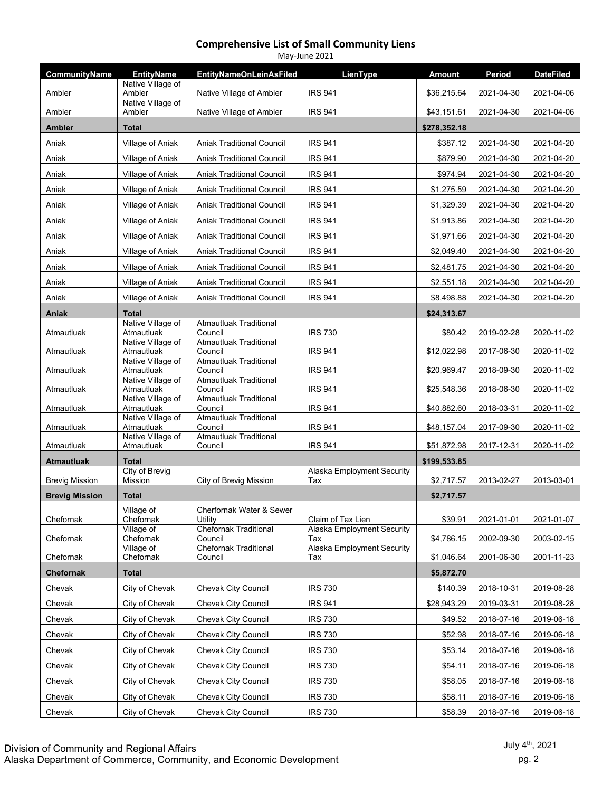| May-June 2021         |                                  |                                          |                                          |               |            |                  |  |
|-----------------------|----------------------------------|------------------------------------------|------------------------------------------|---------------|------------|------------------|--|
| CommunityName         | <b>EntityName</b>                | <b>EntityNameOnLeinAsFiled</b>           | LienType                                 | <b>Amount</b> | Period     | <b>DateFiled</b> |  |
| Ambler                | Native Village of<br>Ambler      | Native Village of Ambler                 | <b>IRS 941</b>                           | \$36,215.64   | 2021-04-30 | 2021-04-06       |  |
| Ambler                | Native Village of<br>Ambler      | Native Village of Ambler                 | <b>IRS 941</b>                           | \$43,151.61   | 2021-04-30 | 2021-04-06       |  |
| <b>Ambler</b>         | <b>Total</b>                     |                                          |                                          | \$278,352.18  |            |                  |  |
| Aniak                 | Village of Aniak                 | <b>Aniak Traditional Council</b>         | <b>IRS 941</b>                           | \$387.12      | 2021-04-30 | 2021-04-20       |  |
| Aniak                 | Village of Aniak                 | <b>Aniak Traditional Council</b>         | <b>IRS 941</b>                           | \$879.90      | 2021-04-30 | 2021-04-20       |  |
| Aniak                 | Village of Aniak                 | <b>Aniak Traditional Council</b>         | <b>IRS 941</b>                           | \$974.94      | 2021-04-30 | 2021-04-20       |  |
| Aniak                 | Village of Aniak                 | <b>Aniak Traditional Council</b>         | <b>IRS 941</b>                           | \$1,275.59    | 2021-04-30 | 2021-04-20       |  |
| Aniak                 | Village of Aniak                 | <b>Aniak Traditional Council</b>         | <b>IRS 941</b>                           | \$1,329.39    | 2021-04-30 | 2021-04-20       |  |
| Aniak                 | Village of Aniak                 | Aniak Traditional Council                | <b>IRS 941</b>                           | \$1,913.86    | 2021-04-30 | 2021-04-20       |  |
| Aniak                 | Village of Aniak                 | <b>Aniak Traditional Council</b>         | <b>IRS 941</b>                           | \$1,971.66    | 2021-04-30 | 2021-04-20       |  |
| Aniak                 | Village of Aniak                 | <b>Aniak Traditional Council</b>         | <b>IRS 941</b>                           | \$2,049.40    | 2021-04-30 | 2021-04-20       |  |
| Aniak                 | Village of Aniak                 | Aniak Traditional Council                | <b>IRS 941</b>                           | \$2,481.75    | 2021-04-30 | 2021-04-20       |  |
| Aniak                 | Village of Aniak                 | <b>Aniak Traditional Council</b>         | <b>IRS 941</b>                           | \$2,551.18    | 2021-04-30 | 2021-04-20       |  |
| Aniak                 | Village of Aniak                 | Aniak Traditional Council                | <b>IRS 941</b>                           | \$8,498.88    | 2021-04-30 | 2021-04-20       |  |
| Aniak                 | <b>Total</b>                     |                                          |                                          | \$24,313.67   |            |                  |  |
| Atmautluak            | Native Village of<br>Atmautluak  | Atmautluak Traditional<br>Council        | <b>IRS 730</b>                           | \$80.42       | 2019-02-28 | 2020-11-02       |  |
| Atmautluak            | Native Village of<br>Atmautluak  | <b>Atmautluak Traditional</b><br>Council | <b>IRS 941</b>                           | \$12,022.98   | 2017-06-30 | 2020-11-02       |  |
| Atmautluak            | Native Village of<br>Atmautluak  | <b>Atmautluak Traditional</b><br>Council | <b>IRS 941</b>                           | \$20,969.47   | 2018-09-30 | 2020-11-02       |  |
| Atmautluak            | Native Village of<br>Atmautluak  | <b>Atmautluak Traditional</b><br>Council | <b>IRS 941</b>                           | \$25,548.36   | 2018-06-30 | 2020-11-02       |  |
| Atmautluak            | Native Village of<br>Atmautluak  | <b>Atmautluak Traditional</b><br>Council | <b>IRS 941</b>                           | \$40,882.60   | 2018-03-31 | 2020-11-02       |  |
| Atmautluak            | Native Village of<br>Atmautluak  | <b>Atmautluak Traditional</b><br>Council | <b>IRS 941</b>                           | \$48,157.04   | 2017-09-30 | 2020-11-02       |  |
| Atmautluak            | Native Village of<br>Atmautluak  | <b>Atmautluak Traditional</b><br>Council | <b>IRS 941</b>                           | \$51,872.98   | 2017-12-31 | 2020-11-02       |  |
| <b>Atmautluak</b>     | <b>Total</b>                     |                                          |                                          | \$199,533.85  |            |                  |  |
| <b>Brevig Mission</b> | <b>City of Brevig</b><br>Mission | City of Brevig Mission                   | Alaska Employment Security<br>Tax        | \$2,717.57    | 2013-02-27 | 2013-03-01       |  |
| <b>Brevig Mission</b> | <b>Total</b>                     |                                          |                                          | \$2,717.57    |            |                  |  |
| Chefornak             | Village of<br>Chefornak          | Cherfornak Water & Sewer<br>Utility      | Claim of Tax Lien                        | \$39.91       | 2021-01-01 | 2021-01-07       |  |
| Chefornak             | Village of<br>Chefornak          | <b>Chefornak Traditional</b><br>Council  | Alaska Employment Security<br>Tax        | \$4,786.15    | 2002-09-30 | 2003-02-15       |  |
| Chefornak             | Village of<br>Chefornak          | <b>Chefornak Traditional</b><br>Council  | <b>Alaska Employment Security</b><br>Tax | \$1,046.64    | 2001-06-30 | 2001-11-23       |  |
| <b>Chefornak</b>      | <b>Total</b>                     |                                          |                                          | \$5,872.70    |            |                  |  |
| Chevak                | City of Chevak                   | Chevak City Council                      | <b>IRS 730</b>                           | \$140.39      | 2018-10-31 | 2019-08-28       |  |
| Chevak                | City of Chevak                   | Chevak City Council                      | <b>IRS 941</b>                           | \$28,943.29   | 2019-03-31 | 2019-08-28       |  |
| Chevak                | City of Chevak                   | <b>Chevak City Council</b>               | <b>IRS 730</b>                           | \$49.52       | 2018-07-16 | 2019-06-18       |  |
| Chevak                | City of Chevak                   | Chevak City Council                      | <b>IRS 730</b>                           | \$52.98       | 2018-07-16 | 2019-06-18       |  |
| Chevak                | City of Chevak                   | Chevak City Council                      | <b>IRS 730</b>                           | \$53.14       | 2018-07-16 | 2019-06-18       |  |
| Chevak                | City of Chevak                   | Chevak City Council                      | <b>IRS 730</b>                           | \$54.11       | 2018-07-16 | 2019-06-18       |  |
| Chevak                | City of Chevak                   | Chevak City Council                      | <b>IRS 730</b>                           | \$58.05       | 2018-07-16 | 2019-06-18       |  |
| Chevak                | City of Chevak                   | Chevak City Council                      | <b>IRS 730</b>                           | \$58.11       | 2018-07-16 | 2019-06-18       |  |
| Chevak                | City of Chevak                   | Chevak City Council                      | <b>IRS 730</b>                           | \$58.39       | 2018-07-16 | 2019-06-18       |  |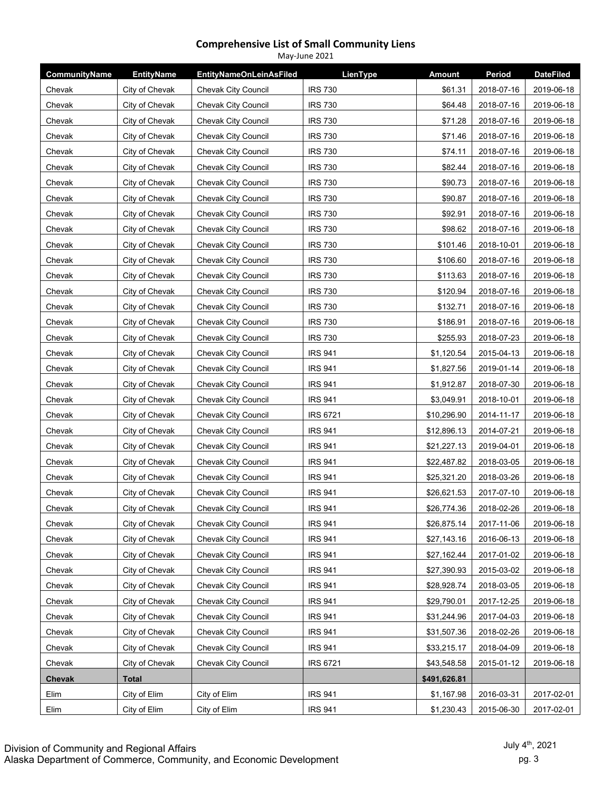| <b>CommunityName</b> | <b>EntityName</b> | <b>EntityNameOnLeinAsFiled</b> | LienType        | <b>Amount</b> | Period     | <b>DateFiled</b> |
|----------------------|-------------------|--------------------------------|-----------------|---------------|------------|------------------|
| Chevak               | City of Chevak    | Chevak City Council            | <b>IRS 730</b>  | \$61.31       | 2018-07-16 | 2019-06-18       |
| Chevak               | City of Chevak    | Chevak City Council            | <b>IRS 730</b>  | \$64.48       | 2018-07-16 | 2019-06-18       |
| Chevak               | City of Chevak    | <b>Chevak City Council</b>     | <b>IRS 730</b>  | \$71.28       | 2018-07-16 | 2019-06-18       |
| Chevak               | City of Chevak    | Chevak City Council            | <b>IRS 730</b>  | \$71.46       | 2018-07-16 | 2019-06-18       |
| Chevak               | City of Chevak    | Chevak City Council            | <b>IRS 730</b>  | \$74.11       | 2018-07-16 | 2019-06-18       |
| Chevak               | City of Chevak    | <b>Chevak City Council</b>     | <b>IRS 730</b>  | \$82.44       | 2018-07-16 | 2019-06-18       |
| Chevak               | City of Chevak    | Chevak City Council            | <b>IRS 730</b>  | \$90.73       | 2018-07-16 | 2019-06-18       |
| Chevak               | City of Chevak    | Chevak City Council            | <b>IRS 730</b>  | \$90.87       | 2018-07-16 | 2019-06-18       |
| Chevak               | City of Chevak    | <b>Chevak City Council</b>     | <b>IRS 730</b>  | \$92.91       | 2018-07-16 | 2019-06-18       |
| Chevak               | City of Chevak    | Chevak City Council            | <b>IRS 730</b>  | \$98.62       | 2018-07-16 | 2019-06-18       |
| Chevak               | City of Chevak    | Chevak City Council            | <b>IRS 730</b>  | \$101.46      | 2018-10-01 | 2019-06-18       |
| Chevak               | City of Chevak    | <b>Chevak City Council</b>     | <b>IRS 730</b>  | \$106.60      | 2018-07-16 | 2019-06-18       |
| Chevak               | City of Chevak    | <b>Chevak City Council</b>     | <b>IRS 730</b>  | \$113.63      | 2018-07-16 | 2019-06-18       |
| Chevak               | City of Chevak    | Chevak City Council            | <b>IRS 730</b>  | \$120.94      | 2018-07-16 | 2019-06-18       |
| Chevak               | City of Chevak    | <b>Chevak City Council</b>     | <b>IRS 730</b>  | \$132.71      | 2018-07-16 | 2019-06-18       |
| Chevak               | City of Chevak    | <b>Chevak City Council</b>     | <b>IRS 730</b>  | \$186.91      | 2018-07-16 | 2019-06-18       |
| Chevak               | City of Chevak    | <b>Chevak City Council</b>     | <b>IRS 730</b>  | \$255.93      | 2018-07-23 | 2019-06-18       |
| Chevak               | City of Chevak    | <b>Chevak City Council</b>     | <b>IRS 941</b>  | \$1,120.54    | 2015-04-13 | 2019-06-18       |
| Chevak               | City of Chevak    | Chevak City Council            | <b>IRS 941</b>  | \$1,827.56    | 2019-01-14 | 2019-06-18       |
| Chevak               | City of Chevak    | Chevak City Council            | <b>IRS 941</b>  | \$1,912.87    | 2018-07-30 | 2019-06-18       |
| Chevak               | City of Chevak    | Chevak City Council            | <b>IRS 941</b>  | \$3,049.91    | 2018-10-01 | 2019-06-18       |
| Chevak               | City of Chevak    | Chevak City Council            | <b>IRS 6721</b> | \$10,296.90   | 2014-11-17 | 2019-06-18       |
| Chevak               | City of Chevak    | Chevak City Council            | <b>IRS 941</b>  | \$12,896.13   | 2014-07-21 | 2019-06-18       |
| Chevak               | City of Chevak    | Chevak City Council            | <b>IRS 941</b>  | \$21,227.13   | 2019-04-01 | 2019-06-18       |
| Chevak               | City of Chevak    | Chevak City Council            | <b>IRS 941</b>  | \$22,487.82   | 2018-03-05 | 2019-06-18       |
| Chevak               | City of Chevak    | Chevak City Council            | <b>IRS 941</b>  | \$25,321.20   | 2018-03-26 | 2019-06-18       |
| Chevak               | City of Chevak    | Chevak City Council            | <b>IRS 941</b>  | \$26,621.53   | 2017-07-10 | 2019-06-18       |
| Chevak               | City of Chevak    | Chevak City Council            | <b>IRS 941</b>  | \$26,774.36   | 2018-02-26 | 2019-06-18       |
| Chevak               | City of Chevak    | Chevak City Council            | <b>IRS 941</b>  | \$26,875.14   | 2017-11-06 | 2019-06-18       |
| Chevak               | City of Chevak    | Chevak City Council            | <b>IRS 941</b>  | \$27,143.16   | 2016-06-13 | 2019-06-18       |
| Chevak               | City of Chevak    | Chevak City Council            | <b>IRS 941</b>  | \$27,162.44   | 2017-01-02 | 2019-06-18       |
| Chevak               | City of Chevak    | Chevak City Council            | <b>IRS 941</b>  | \$27,390.93   | 2015-03-02 | 2019-06-18       |
| Chevak               | City of Chevak    | Chevak City Council            | <b>IRS 941</b>  | \$28,928.74   | 2018-03-05 | 2019-06-18       |
| Chevak               | City of Chevak    | Chevak City Council            | <b>IRS 941</b>  | \$29,790.01   | 2017-12-25 | 2019-06-18       |
| Chevak               | City of Chevak    | Chevak City Council            | <b>IRS 941</b>  | \$31,244.96   | 2017-04-03 | 2019-06-18       |
| Chevak               | City of Chevak    | Chevak City Council            | <b>IRS 941</b>  | \$31,507.36   | 2018-02-26 | 2019-06-18       |
| Chevak               | City of Chevak    | Chevak City Council            | <b>IRS 941</b>  | \$33,215.17   | 2018-04-09 | 2019-06-18       |
| Chevak               | City of Chevak    | Chevak City Council            | <b>IRS 6721</b> | \$43,548.58   | 2015-01-12 | 2019-06-18       |
| Chevak               | <b>Total</b>      |                                |                 | \$491,626.81  |            |                  |
| Elim                 | City of Elim      | City of Elim                   | <b>IRS 941</b>  | \$1,167.98    | 2016-03-31 | 2017-02-01       |
| Elim                 | City of Elim      | City of Elim                   | <b>IRS 941</b>  | \$1,230.43    | 2015-06-30 | 2017-02-01       |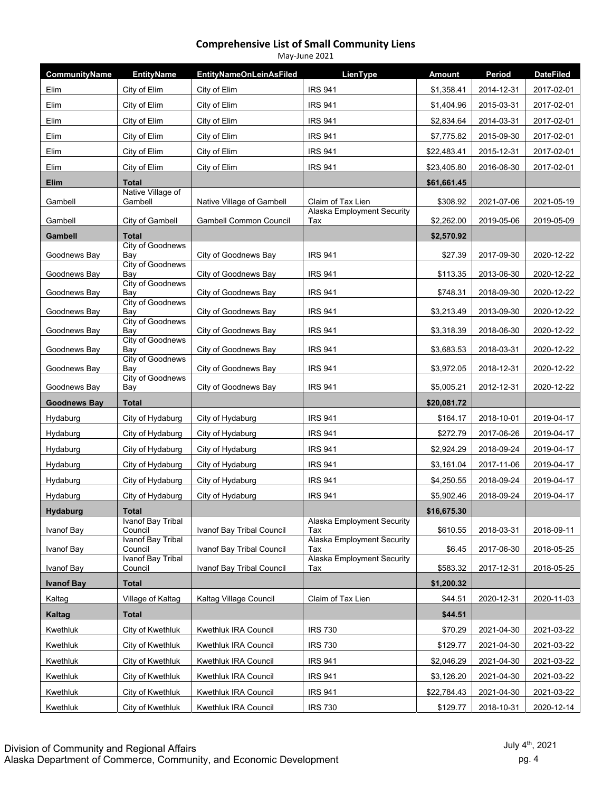| CommunityName       | <b>EntityName</b>                   | <b>EntityNameOnLeinAsFiled</b> | LienType                          | <b>Amount</b> | Period     | <b>DateFiled</b> |
|---------------------|-------------------------------------|--------------------------------|-----------------------------------|---------------|------------|------------------|
| Elim                | City of Elim                        | City of Elim                   | <b>IRS 941</b>                    | \$1,358.41    | 2014-12-31 | 2017-02-01       |
| Elim                | City of Elim                        | City of Elim                   | <b>IRS 941</b>                    | \$1,404.96    | 2015-03-31 | 2017-02-01       |
| Elim                | City of Elim                        | City of Elim                   | <b>IRS 941</b>                    | \$2,834.64    | 2014-03-31 | 2017-02-01       |
| Elim                | City of Elim                        | City of Elim                   | <b>IRS 941</b>                    | \$7,775.82    | 2015-09-30 | 2017-02-01       |
| Elim                | City of Elim                        | City of Elim                   | <b>IRS 941</b>                    | \$22,483.41   | 2015-12-31 | 2017-02-01       |
| Elim                | City of Elim                        | City of Elim                   | <b>IRS 941</b>                    | \$23,405.80   | 2016-06-30 | 2017-02-01       |
| <b>Elim</b>         | <b>Total</b>                        |                                |                                   | \$61,661.45   |            |                  |
| Gambell             | Native Village of<br>Gambell        | Native Village of Gambell      | Claim of Tax Lien                 | \$308.92      | 2021-07-06 | 2021-05-19       |
| Gambell             | City of Gambell                     | <b>Gambell Common Council</b>  | Alaska Employment Security<br>Tax | \$2,262.00    | 2019-05-06 | 2019-05-09       |
| Gambell             | <b>Total</b>                        |                                |                                   | \$2,570.92    |            |                  |
| Goodnews Bay        | City of Goodnews<br>Bay             | City of Goodnews Bay           | <b>IRS 941</b>                    | \$27.39       | 2017-09-30 | 2020-12-22       |
| Goodnews Bay        | <b>City of Goodnews</b><br>Bay      | City of Goodnews Bay           | <b>IRS 941</b>                    | \$113.35      | 2013-06-30 | 2020-12-22       |
| Goodnews Bay        | City of Goodnews<br>Bay             | City of Goodnews Bay           | <b>IRS 941</b>                    | \$748.31      | 2018-09-30 | 2020-12-22       |
| Goodnews Bay        | <b>City of Goodnews</b><br>Bay      | City of Goodnews Bay           | <b>IRS 941</b>                    | \$3,213.49    | 2013-09-30 | 2020-12-22       |
| Goodnews Bay        | <b>City of Goodnews</b><br>Bay      | City of Goodnews Bay           | <b>IRS 941</b>                    | \$3,318.39    | 2018-06-30 | 2020-12-22       |
| Goodnews Bay        | City of Goodnews<br>Bay             | City of Goodnews Bay           | <b>IRS 941</b>                    | \$3,683.53    | 2018-03-31 | 2020-12-22       |
| Goodnews Bay        | <b>City of Goodnews</b><br>Bay      | City of Goodnews Bay           | <b>IRS 941</b>                    | \$3,972.05    | 2018-12-31 | 2020-12-22       |
| Goodnews Bay        | <b>City of Goodnews</b><br>Bay      | City of Goodnews Bay           | <b>IRS 941</b>                    | \$5,005.21    | 2012-12-31 | 2020-12-22       |
| <b>Goodnews Bay</b> | <b>Total</b>                        |                                |                                   | \$20,081.72   |            |                  |
| Hydaburg            | City of Hydaburg                    | City of Hydaburg               | <b>IRS 941</b>                    | \$164.17      | 2018-10-01 | 2019-04-17       |
| Hydaburg            | City of Hydaburg                    | City of Hydaburg               | <b>IRS 941</b>                    | \$272.79      | 2017-06-26 | 2019-04-17       |
| Hydaburg            | City of Hydaburg                    | City of Hydaburg               | <b>IRS 941</b>                    | \$2,924.29    | 2018-09-24 | 2019-04-17       |
| Hydaburg            | City of Hydaburg                    | City of Hydaburg               | <b>IRS 941</b>                    | \$3,161.04    | 2017-11-06 | 2019-04-17       |
| Hydaburg            | City of Hydaburg                    | City of Hydaburg               | <b>IRS 941</b>                    | \$4,250.55    | 2018-09-24 | 2019-04-17       |
| Hydaburg            | City of Hydaburg                    | City of Hydaburg               | <b>IRS 941</b>                    | \$5,902.46    | 2018-09-24 | 2019-04-17       |
| <b>Hydaburg</b>     | Total                               |                                |                                   | \$16,675.30   |            |                  |
| Ivanof Bay          | Ivanof Bay Tribal<br>Council        | Ivanof Bay Tribal Council      | Alaska Employment Security<br>Tax | \$610.55      | 2018-03-31 | 2018-09-11       |
| Ivanof Bay          | Ivanof Bay Tribal<br>Council        | Ivanof Bay Tribal Council      | Alaska Employment Security<br>Tax | \$6.45        | 2017-06-30 | 2018-05-25       |
| Ivanof Bay          | <b>Ivanof Bay Tribal</b><br>Council | Ivanof Bay Tribal Council      | Alaska Employment Security<br>Tax | \$583.32      | 2017-12-31 | 2018-05-25       |
| <b>Ivanof Bay</b>   | <b>Total</b>                        |                                |                                   | \$1,200.32    |            |                  |
| Kaltag              | Village of Kaltag                   | Kaltag Village Council         | Claim of Tax Lien                 | \$44.51       | 2020-12-31 | 2020-11-03       |
| Kaltag              | <b>Total</b>                        |                                |                                   | \$44.51       |            |                  |
| Kwethluk            | City of Kwethluk                    | Kwethluk IRA Council           | <b>IRS 730</b>                    | \$70.29       | 2021-04-30 | 2021-03-22       |
| Kwethluk            | City of Kwethluk                    | Kwethluk IRA Council           | <b>IRS 730</b>                    | \$129.77      | 2021-04-30 | 2021-03-22       |
| Kwethluk            | City of Kwethluk                    | Kwethluk IRA Council           | <b>IRS 941</b>                    | \$2,046.29    | 2021-04-30 | 2021-03-22       |
| Kwethluk            | City of Kwethluk                    | Kwethluk IRA Council           | <b>IRS 941</b>                    | \$3,126.20    | 2021-04-30 | 2021-03-22       |
| Kwethluk            | City of Kwethluk                    | Kwethluk IRA Council           | <b>IRS 941</b>                    | \$22,784.43   | 2021-04-30 | 2021-03-22       |
| Kwethluk            | City of Kwethluk                    | Kwethluk IRA Council           | <b>IRS 730</b>                    | \$129.77      | 2018-10-31 | 2020-12-14       |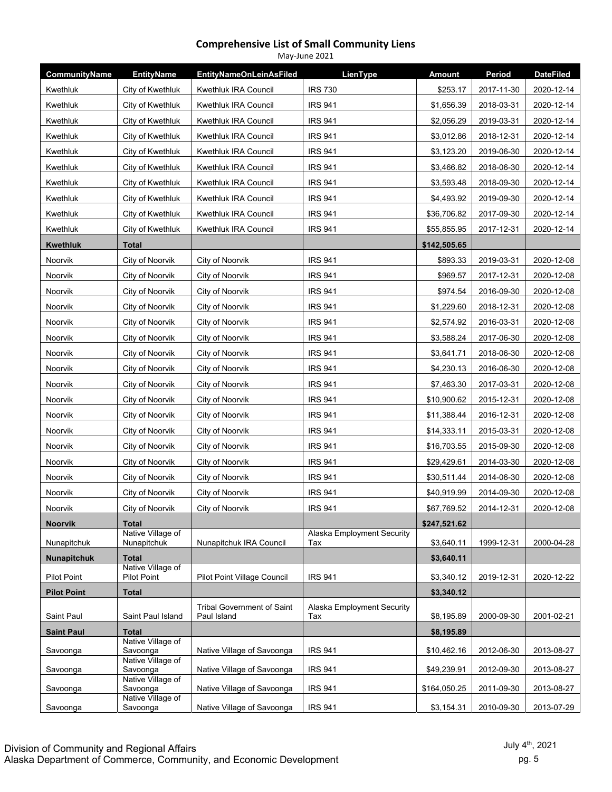| CommunityName      | <b>EntityName</b>                | <b>EntityNameOnLeinAsFiled</b>                   | LienType                          | <b>Amount</b> | Period     | <b>DateFiled</b> |
|--------------------|----------------------------------|--------------------------------------------------|-----------------------------------|---------------|------------|------------------|
| Kwethluk           | City of Kwethluk                 | Kwethluk IRA Council                             | <b>IRS 730</b>                    | \$253.17      | 2017-11-30 | 2020-12-14       |
| Kwethluk           | City of Kwethluk                 | Kwethluk IRA Council                             | <b>IRS 941</b>                    | \$1,656.39    | 2018-03-31 | 2020-12-14       |
| Kwethluk           | City of Kwethluk                 | Kwethluk IRA Council                             | <b>IRS 941</b>                    | \$2,056.29    | 2019-03-31 | 2020-12-14       |
| Kwethluk           | City of Kwethluk                 | Kwethluk IRA Council                             | <b>IRS 941</b>                    | \$3,012.86    | 2018-12-31 | 2020-12-14       |
| Kwethluk           | City of Kwethluk                 | Kwethluk IRA Council                             | <b>IRS 941</b>                    | \$3,123.20    | 2019-06-30 | 2020-12-14       |
| Kwethluk           | City of Kwethluk                 | Kwethluk IRA Council                             | <b>IRS 941</b>                    | \$3,466.82    | 2018-06-30 | 2020-12-14       |
| Kwethluk           | City of Kwethluk                 | Kwethluk IRA Council                             | <b>IRS 941</b>                    | \$3,593.48    | 2018-09-30 | 2020-12-14       |
| Kwethluk           | City of Kwethluk                 | Kwethluk IRA Council                             | <b>IRS 941</b>                    | \$4,493.92    | 2019-09-30 | 2020-12-14       |
| Kwethluk           | City of Kwethluk                 | Kwethluk IRA Council                             | <b>IRS 941</b>                    | \$36,706.82   | 2017-09-30 | 2020-12-14       |
| Kwethluk           | City of Kwethluk                 | Kwethluk IRA Council                             | <b>IRS 941</b>                    | \$55,855.95   | 2017-12-31 | 2020-12-14       |
| <b>Kwethluk</b>    | Total                            |                                                  |                                   | \$142,505.65  |            |                  |
| Noorvik            | City of Noorvik                  | City of Noorvik                                  | <b>IRS 941</b>                    | \$893.33      | 2019-03-31 | 2020-12-08       |
| Noorvik            | City of Noorvik                  | City of Noorvik                                  | <b>IRS 941</b>                    | \$969.57      | 2017-12-31 | 2020-12-08       |
| Noorvik            | City of Noorvik                  | City of Noorvik                                  | <b>IRS 941</b>                    | \$974.54      | 2016-09-30 | 2020-12-08       |
| Noorvik            | City of Noorvik                  | City of Noorvik                                  | <b>IRS 941</b>                    | \$1,229.60    | 2018-12-31 | 2020-12-08       |
| Noorvik            | City of Noorvik                  | City of Noorvik                                  | <b>IRS 941</b>                    | \$2,574.92    | 2016-03-31 | 2020-12-08       |
| Noorvik            | City of Noorvik                  | City of Noorvik                                  | <b>IRS 941</b>                    | \$3,588.24    | 2017-06-30 | 2020-12-08       |
| Noorvik            | City of Noorvik                  | City of Noorvik                                  | <b>IRS 941</b>                    | \$3,641.71    | 2018-06-30 | 2020-12-08       |
| Noorvik            | City of Noorvik                  | City of Noorvik                                  | <b>IRS 941</b>                    | \$4,230.13    | 2016-06-30 | 2020-12-08       |
| Noorvik            | City of Noorvik                  | City of Noorvik                                  | <b>IRS 941</b>                    | \$7,463.30    | 2017-03-31 | 2020-12-08       |
| Noorvik            | City of Noorvik                  | City of Noorvik                                  | <b>IRS 941</b>                    | \$10,900.62   | 2015-12-31 | 2020-12-08       |
| Noorvik            | City of Noorvik                  | City of Noorvik                                  | <b>IRS 941</b>                    | \$11,388.44   | 2016-12-31 | 2020-12-08       |
| Noorvik            | City of Noorvik                  | City of Noorvik                                  | <b>IRS 941</b>                    | \$14,333.11   | 2015-03-31 | 2020-12-08       |
| Noorvik            | City of Noorvik                  | City of Noorvik                                  | <b>IRS 941</b>                    | \$16,703.55   | 2015-09-30 | 2020-12-08       |
| Noorvik            | City of Noorvik                  | City of Noorvik                                  | <b>IRS 941</b>                    | \$29,429.61   | 2014-03-30 | 2020-12-08       |
| Noorvik            | City of Noorvik                  | City of Noorvik                                  | <b>IRS 941</b>                    | \$30,511.44   | 2014-06-30 | 2020-12-08       |
| Noorvik            | City of Noorvik                  | City of Noorvik                                  | <b>IRS 941</b>                    | \$40,919.99   | 2014-09-30 | 2020-12-08       |
| Noorvik            | City of Noorvik                  | City of Noorvik                                  | <b>IRS 941</b>                    | \$67,769.52   | 2014-12-31 | 2020-12-08       |
| <b>Noorvik</b>     | <b>Total</b>                     |                                                  |                                   | \$247,521.62  |            |                  |
| Nunapitchuk        | Native Village of<br>Nunapitchuk | Nunapitchuk IRA Council                          | Alaska Employment Security<br>Tax | \$3,640.11    | 1999-12-31 | 2000-04-28       |
| <b>Nunapitchuk</b> | <b>Total</b>                     |                                                  |                                   | \$3,640.11    |            |                  |
| <b>Pilot Point</b> | Native Village of<br>Pilot Point | <b>Pilot Point Village Council</b>               | <b>IRS 941</b>                    | \$3,340.12    | 2019-12-31 | 2020-12-22       |
| <b>Pilot Point</b> | <b>Total</b>                     |                                                  |                                   | \$3,340.12    |            |                  |
| Saint Paul         | Saint Paul Island                | <b>Tribal Government of Saint</b><br>Paul Island | Alaska Employment Security<br>Tax | \$8,195.89    | 2000-09-30 | 2001-02-21       |
| <b>Saint Paul</b>  | <b>Total</b>                     |                                                  |                                   | \$8,195.89    |            |                  |
| Savoonga           | Native Village of<br>Savoonga    | Native Village of Savoonga                       | <b>IRS 941</b>                    | \$10,462.16   | 2012-06-30 | 2013-08-27       |
| Savoonga           | Native Village of<br>Savoonga    | Native Village of Savoonga                       | <b>IRS 941</b>                    | \$49,239.91   | 2012-09-30 | 2013-08-27       |
| Savoonga           | Native Village of<br>Savoonga    | Native Village of Savoonga                       | <b>IRS 941</b>                    | \$164,050.25  | 2011-09-30 | 2013-08-27       |
| Savoonga           | Native Village of<br>Savoonga    | Native Village of Savoonga                       | <b>IRS 941</b>                    | \$3,154.31    | 2010-09-30 | 2013-07-29       |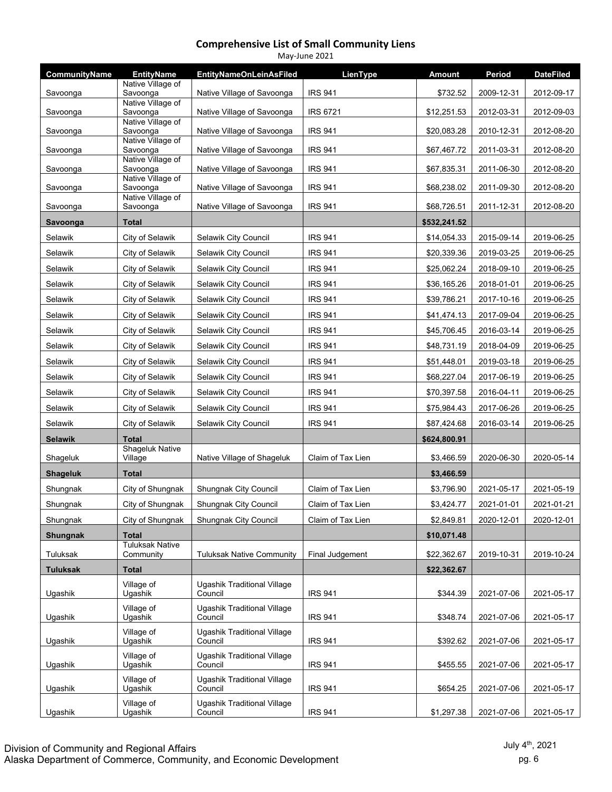| <b>CommunityName</b> | <b>EntityName</b>                   | <b>EntityNameOnLeinAsFiled</b>                | LienType          | <b>Amount</b> | Period     | <b>DateFiled</b> |
|----------------------|-------------------------------------|-----------------------------------------------|-------------------|---------------|------------|------------------|
| Savoonga             | Native Village of<br>Savoonga       | Native Village of Savoonga                    | <b>IRS 941</b>    | \$732.52      | 2009-12-31 | 2012-09-17       |
|                      | Native Village of                   |                                               |                   |               |            |                  |
| Savoonga             | Savoonga<br>Native Village of       | Native Village of Savoonga                    | <b>IRS 6721</b>   | \$12,251.53   | 2012-03-31 | 2012-09-03       |
| Savoonga             | Savoonga                            | Native Village of Savoonga                    | <b>IRS 941</b>    | \$20,083.28   | 2010-12-31 | 2012-08-20       |
| Savoonga             | Native Village of<br>Savoonga       | Native Village of Savoonga                    | <b>IRS 941</b>    | \$67,467.72   | 2011-03-31 | 2012-08-20       |
| Savoonga             | Native Village of<br>Savoonga       | Native Village of Savoonga                    | <b>IRS 941</b>    | \$67,835.31   | 2011-06-30 | 2012-08-20       |
| Savoonga             | Native Village of<br>Savoonga       | Native Village of Savoonga                    | <b>IRS 941</b>    | \$68,238.02   | 2011-09-30 | 2012-08-20       |
|                      | Native Village of                   |                                               |                   |               |            |                  |
| Savoonga             | Savoonga                            | Native Village of Savoonga                    | <b>IRS 941</b>    | \$68,726.51   | 2011-12-31 | 2012-08-20       |
| Savoonga             | <b>Total</b>                        |                                               |                   | \$532,241.52  |            |                  |
| Selawik              | City of Selawik                     | Selawik City Council                          | <b>IRS 941</b>    | \$14,054.33   | 2015-09-14 | 2019-06-25       |
| Selawik              | City of Selawik                     | Selawik City Council                          | <b>IRS 941</b>    | \$20,339.36   | 2019-03-25 | 2019-06-25       |
| Selawik              | City of Selawik                     | Selawik City Council                          | <b>IRS 941</b>    | \$25,062.24   | 2018-09-10 | 2019-06-25       |
| Selawik              | City of Selawik                     | Selawik City Council                          | <b>IRS 941</b>    | \$36,165.26   | 2018-01-01 | 2019-06-25       |
| Selawik              | City of Selawik                     | Selawik City Council                          | <b>IRS 941</b>    | \$39,786.21   | 2017-10-16 | 2019-06-25       |
| Selawik              | City of Selawik                     | Selawik City Council                          | <b>IRS 941</b>    | \$41,474.13   | 2017-09-04 | 2019-06-25       |
| Selawik              | City of Selawik                     | Selawik City Council                          | <b>IRS 941</b>    | \$45,706.45   | 2016-03-14 | 2019-06-25       |
| Selawik              | City of Selawik                     | Selawik City Council                          | <b>IRS 941</b>    | \$48,731.19   | 2018-04-09 | 2019-06-25       |
| Selawik              | City of Selawik                     | Selawik City Council                          | <b>IRS 941</b>    | \$51,448.01   | 2019-03-18 | 2019-06-25       |
| Selawik              | City of Selawik                     | Selawik City Council                          | <b>IRS 941</b>    | \$68,227.04   | 2017-06-19 | 2019-06-25       |
| Selawik              | City of Selawik                     | Selawik City Council                          | <b>IRS 941</b>    | \$70,397.58   | 2016-04-11 | 2019-06-25       |
| Selawik              | City of Selawik                     | Selawik City Council                          | <b>IRS 941</b>    | \$75,984.43   | 2017-06-26 | 2019-06-25       |
| Selawik              | City of Selawik                     | Selawik City Council                          | <b>IRS 941</b>    | \$87,424.68   | 2016-03-14 | 2019-06-25       |
| <b>Selawik</b>       | <b>Total</b>                        |                                               |                   | \$624,800.91  |            |                  |
| Shageluk             | <b>Shageluk Native</b><br>Village   | Native Village of Shageluk                    | Claim of Tax Lien | \$3,466.59    | 2020-06-30 | 2020-05-14       |
| <b>Shageluk</b>      | <b>Total</b>                        |                                               |                   | \$3,466.59    |            |                  |
| Shungnak             | City of Shungnak                    | <b>Shungnak City Council</b>                  | Claim of Tax Lien | \$3,796.90    | 2021-05-17 | 2021-05-19       |
| Shungnak             | City of Shungnak                    | <b>Shungnak City Council</b>                  | Claim of Tax Lien | \$3,424.77    | 2021-01-01 | 2021-01-21       |
| Shungnak             | City of Shungnak                    | <b>Shungnak City Council</b>                  | Claim of Tax Lien | \$2,849.81    | 2020-12-01 | 2020-12-01       |
| <b>Shungnak</b>      | <b>Total</b>                        |                                               |                   | \$10,071.48   |            |                  |
| Tuluksak             | <b>Tuluksak Native</b><br>Community | <b>Tuluksak Native Community</b>              | Final Judgement   | \$22,362.67   | 2019-10-31 | 2019-10-24       |
| <b>Tuluksak</b>      | <b>Total</b>                        |                                               |                   | \$22,362.67   |            |                  |
|                      | Village of                          | <b>Ugashik Traditional Village</b>            |                   |               |            |                  |
| Ugashik              | Ugashik                             | Council                                       | <b>IRS 941</b>    | \$344.39      | 2021-07-06 | 2021-05-17       |
| Ugashik              | Village of<br>Ugashik               | <b>Ugashik Traditional Village</b><br>Council | <b>IRS 941</b>    | \$348.74      | 2021-07-06 | 2021-05-17       |
| Ugashik              | Village of<br>Ugashik               | Ugashik Traditional Village<br>Council        | <b>IRS 941</b>    | \$392.62      | 2021-07-06 | 2021-05-17       |
| Ugashik              | Village of<br>Ugashik               | Ugashik Traditional Village<br>Council        | <b>IRS 941</b>    | \$455.55      | 2021-07-06 | 2021-05-17       |
| Ugashik              | Village of<br>Ugashik               | Ugashik Traditional Village<br>Council        | <b>IRS 941</b>    | \$654.25      | 2021-07-06 | 2021-05-17       |
| Ugashik              | Village of<br>Ugashik               | Ugashik Traditional Village<br>Council        | <b>IRS 941</b>    | \$1,297.38    | 2021-07-06 | 2021-05-17       |